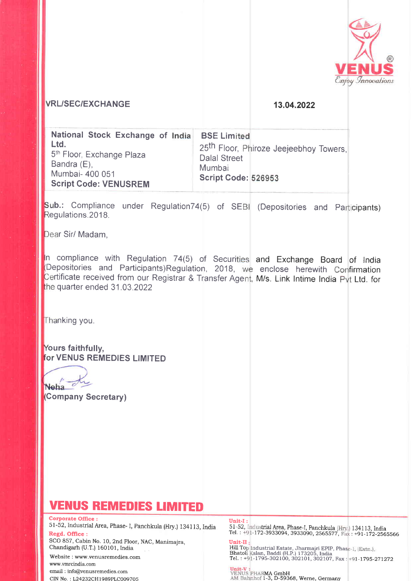

## **VRL/SEC/EXCHANGE**

### 13.04.2022

| <b>Script Code: VENUSREM</b> |
|------------------------------|
|------------------------------|

Sub.: Compliance under Regulation74(5) of SEBI (Depositories and Participants) Regulations.2018.

Dear Sir/ Madam.

In compliance with Regulation 74(5) of Securities and Exchange Board of India Depositories and Participants)Regulation, 2018, we enclose herewith Confirmation Certificate received from our Registrar & Transfer Agent, M/s. Link Intime India Pyt Ltd. for the quarter ended 31.03.2022

Thanking you.

Yours faithfully, for VENUS REMEDIES LIMITED

Neha du

(Company Secretary)

# **VENUS REMEDIES LIMITED**

**Corporate Office:** 51-52, Industrial Area, Phase- I, Panchkula (Hry.) 134113, India Regd. Office:

SCO 857, Cabin No. 10, 2nd Floor, NAC, Manimajra, Chandigarh (U.T.) 160101, India

Website: www.venusremedies.com www.vmrcindia.com email: info@venusremedies.com CIN No.: L24232CH1989PLC009705

#### **Unit-I**

51-52, Industrial Area, Phase-I, Panchkula (Hry.) 134113, India<br>Tel.: +91-172-3933094, 3933090, 2565577, Fax: +91-172-2565566 Unit-II

Hill Top Industrial Estate, Jharmajri EPIP, Phase-I, (Extn.),<br>Bhatoli Kalan, Baddi (H.P.) 173205, India<br>Tel. : +91-1795-302100, 302101, 302107, Fax : +91-1795-271272

**Unit-V :**<br>VENUS PHARMA GmbH<br>AM Bahnhof 1-3, D-59368, Werne, Germany